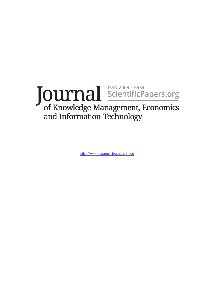# Journal ScientificPapers.org<br>of Knowledge Management, Economics and Information Technology

[http://www.scientificpapers.org](http://www.scientificpapers.org/)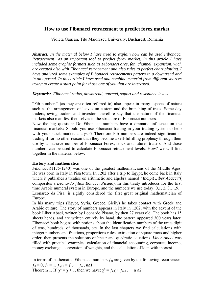# **How to use Fibonacci retracement to predict forex market**

Violeta Gaucan, Titu Maiorescu University, Bucharest, Romania

*Abstract: In the material below I have tried to explain how can be used Fibonacci Retracement as an important tool to predict forex market. In this article I have included some graphic formats such as Fibonacci arcs, fan, channel, expansion, wich are created also with Fibonacci retracement and also rules to perfect chart plotting. I have analyzed some examples of Fibonacci retracements pattern in a downtrend and in an uptrend. In this article I have used and combine material from different sources trying to create a start point for those one of you that are interested.* 

## *Keywords: Fibonacci ratios, downtrend, uptrend, suport and resistance levels*

"Fib numbers" (as they are often referred to) also appear in many aspects of nature such as the arrangement of leaves on a stem and the branching of trees. Some day traders, swing traders and investors therefore say that the nature of the financial markets also manifest themselves in the structure of Fibonacci numbers.

Now the big question: Do Fibonacci numbers have a dramatic influence on the financial markets? Should you use Fibonacci trading in your trading system to help with your stock market analysis? Therefore Fib numbers are indeed significant in trading if for no other reason than they become a self-fulfilling prophecy through their use by a massive number of Fibonacci Forex, stock and futures traders. And those numbers can be used to calculate Fibonacci retracement levels. How? we will find together in the material below.

# **History and mathematics**

*Fibonacci*(1175-1240) was one of the greatest mathematicians of the Middle Ages. He was born in Italy in Pisa town. In 1202 after a trip to Egypt, he come back in Italy where it publishes a treatise on arithmetic and algebra named *"Incipit Liber Abacci"*( compositus a *Leonardo filius Bonacci Pisano*). In this treaty introduces for the first time Arabic numeral system in Europe, and the numbers we use today: 0,1, 2, 3,…,9. Leonardo da Pisa, is rightly considered the first great original mathematician of Europe.

In his many trips (Egypt, Syria, Greece, Sicily) he takes contact with Greek and Arabic culture. The story of numbers appears in Italy in 1202, with the advent of the book Liber Abaci, written by Leonardo Pisano, by then 27 years old. The book has 15 sheets heads, and are written entirely by hand, the pattern appeared 300 years later. Fibonacci book begins with notions about the identification numbers of the units digit of tens, hundreds, of thousands, etc. In the last chapters we find calculations with integer numbers and fractions, proportions rules, extraction of square roots and higher order, then presents the solutions of linear and quadratic equations. *Liber Abaci* was filled with practical examples: calculation of financial accounting, corporate income, money exchange, conversion of weights, and the calculation of loan with interest.

In terms of mathematic, Fibonacci numbers  $f_n$  are given by the following recurrence:  $f_0 = 0, f_1 = 1, f_{n+1} = f_{n-1} + f_n, n \ge 1.$ Theorem 1. If  $\chi^2 = \chi + 1$ , then we have:  $\chi^n = f_n \chi + f_{n-1}$ ,  $n \ge 2$ .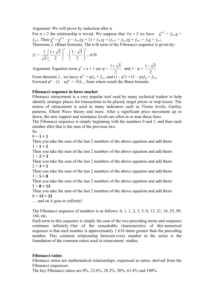Argument: We will prove by induction after n.

For n = 2 the relationship is trivial. We suppose that  $\forall n > 2$  we have  $\chi^{n-1} = f_{n-1}\chi +$  $f_{n-2}$ . Then  $\chi^{n} = \chi^{n-1} \cdot \chi = f_{n-1}(\chi + 1) + f_{n-2}\chi = (f_{n-1} + f_{n-2})\chi + f_{n-1} = f_n\chi + f_{n-1}$ . Theorema 2. (Binet formula). The n-th term of the Fibonacci sequence is given by:

$$
f_{n} = \frac{1}{\sqrt{5}} \left( \frac{1+\sqrt{5}}{2} \right)^{n} - \left( \frac{1-\sqrt{5}}{2} \right)^{n}, \ n \ge 0.
$$

Argument: Equation roots  $\chi^2 = x + 1$  are  $\varphi =$ 2  $\frac{1+\sqrt{5}}{2}$  and 1 -  $\varphi$  = 2  $1-\sqrt{5}$ 

From theorem 1., we have:  $\varphi^{n} = \varphi f_{n} + f_{n-1}$  and  $(1 - \varphi^{n}) = (1 - \varphi)f_{n} + f_{n-1}$ Forward  $\varphi^{n} - (1 - \varphi)^{n} = \sqrt{5f_n}$ , from where result the Binet formula.

## **Fibonacci sequence in forex market**

Fibonacci retracement is a very popular tool used by many technical traders to help identify strategic places for transactions to be placed, target prices or stop losses. The notion of retracement is used in many indicators such as Tirone levels, Gartley patterns, Elliott Wave theory and more. After a significant price movement up or down, the new support and resistance levels are often at or near these lines.

The Fibonacci sequence is simply beginning with the numbers 0 and 1, and then each number after that is the sum of the previous two.

 $So$ 

 $0 + 1 = 1$ 

Then you take the sum of the last 2 numbers of the above equation and add them:  $1 + 1 = 2$ 

Then you take the sum of the last 2 numbers of the above equation and add them:  $1 + 2 = 3$ 

Then you take the sum of the last 2 numbers of the above equation and add them:  $2 + 3 = 5$ 

Then you take the sum of the last 2 numbers of the above equation and add them:  $3 + 5 = 8$ 

Then you take the sum of the last 2 numbers of the above equation and add them:  $5 + 8 = 13$ 

Then you take the sum of the last 2 numbers of the above equation and add them:  $8 + 13 = 21$ 

… and on it goes to infiinity!

The Fibonacci sequence of numbers is as follows: 0, 1, 1, 2, 3, 5, 8, 13, 21, 34, 55, 89, 144, etc.

Each term in this sequence is simply the sum of the two preceding terms and sequence continues infinitely. One of the remarkable characteristics of this numerical sequence is that each number is approximately 1.618 times greater than the preceding number. This common relationship between every number in the series is the foundation of the common ratios used in retracement studies.

# **Fibonacci ratios**

Fibonacci ratios are mathematical relationships, expressed as ratios, derived from the Fibonacci sequences.

The key Fibonacci ratios are 0%, 23.6%, 38.2%, 50%, 61.8% and 100%.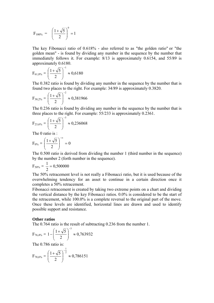$$
F_{100\%} = \left(\frac{1+\sqrt{5}}{2}\right)^0 = 1
$$

The key Fibonacci ratio of 0.618% - also referred to as "the golden ratio" or "the golden mean" - is found by dividing any number in the sequence by the number that immediately follows it. For example: 8/13 is approximately 0.6154, and 55/89 is approximately 0.6180.

$$
F_{61,8\%} = \left(\frac{1+\sqrt{5}}{2}\right)^{-1} \approx 0,6180
$$

The 0.382 ratio is found by dividing any number in the sequence by the number that is found two places to the right. For example: 34/89 is approximately 0.3820.

$$
F_{38,2\%} = \left(\frac{1+\sqrt{5}}{2}\right)^{-2} \approx 0,381966
$$

The 0.236 ratio is found by dividing any number in the sequence by the number that is three places to the right. For example: 55/233 is approximately 0.2361.

$$
F_{23,6\%} = \left(\frac{1+\sqrt{5}}{2}\right)^{-3} \approx 0,236068
$$

The 0 ratio is  $\cdot$ 

$$
F_{0\%} = \left(\frac{1+\sqrt{5}}{2}\right)^{-\infty} = 0
$$

The 0.500 ratio is derived from dividing the number 1 (third number in the sequence) by the number 2 (forth number in the sequence).

$$
F_{50\%}=\,\frac{1}{2}=0,500000
$$

The 50% retracement level is not really a Fibonacci ratio, but it is used because of the overwhelming tendency for an asset to continue in a certain direction once it completes a 50% retracement.

Fibonacci retracement is created by taking two extreme points on a chart and dividing the vertical distance by the key Fibonacci ratios. 0.0% is considered to be the start of the retracement, while 100.0% is a complete reversal to the original part of the move. Once these levels are identified, horizontal lines are drawn and used to identify possible support and resistance.

#### **Other ratios**

The 0.764 ratio is the result of subtracting 0.236 from the number 1.

$$
F_{76,4\%} = 1 - \left(\frac{1+\sqrt{5}}{2}\right)^{-3} \approx 0,763932
$$

The 0.786 ratio is:

$$
F_{78,6\%} = \left(\frac{1+\sqrt{5}}{2}\right)^{\frac{1}{2}} \approx 0,786151
$$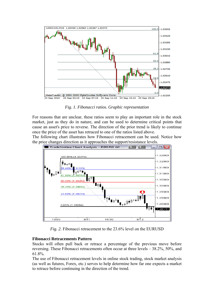

*Fig. 1. Fibonacci ratios. Graphic representation* 

For reasons that are unclear, these ratios seem to play an important role in the stock market, just as they do in nature, and can be used to determine critical points that cause an asset's price to reverse. The direction of the prior trend is likely to continue once the price of the asset has retraced to one of the ratios listed above.

The following chart illustrates how Fibonacci retracement can be used. Notice how the p[rice changes direction as it approaches the support/resistance levels.](http://www.fibonacciretracement.net/fibonacci-retracement-trading/fibonacci-retracement-eurusd/) 



*Fig. 2.* Fibonacci retracement to the 23.6% level on the EURUSD

# **Fibonacci Retracements Pattern**

Stocks will often pull back or retrace a percentage of the previous move before reversing. These Fibonacci retracements often occur at three levels – 38.2%, 50%, and 61.8%.

The use of Fibonacci retracement levels in online stock trading, stock market analysis (as well as futures, Forex, etc.) serves to help determine how far one expects a market to retrace before continuing in the direction of the trend.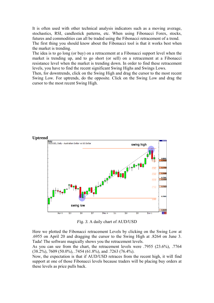It is often used with other technical analysis indicators such as a moving average, stochastics, RSI, candlestick patterns, etc. When using Fibonacci Forex, stocks, futures and commodities can all be traded using the Fibonacci retracement of a trend. The first thing you should know about the Fibonacci tool is that it works best when the market is trending.

The idea is to go long (or buy) on a retracement at a Fibonacci support level when the market is trending up, and to go short (or sell) on a retracement at a Fibonacci resistance level when the market is trending down. In order to find these retracement levels, you have to find the recent significant Swing Highs and Swings Lows.

Then, for downtrends, click on the Swing High and drag the cursor to the most recent Swing Low. For uptrends, do the opposite. Click on the Swing Low and drag the cursor to the most recent Swing High.



*Fig. 3.* A daily chart of AUD/USD

Here we plotted the Fibonacci retracement Levels by clicking on the Swing Low at .6955 on April 20 and dragging the cursor to the Swing High at .8264 on June 3. Tada! The software magically shows you the retracement levels.

As you can see from the chart, the retracement levels were .7955 (23.6%), .7764 (38.2%), 7609 (50.0%), .7454 (61.8%), and .7263 (76.4%).

Now, the expectation is that if AUD/USD retraces from the recent high, it will find support at one of those Fibonacci levels because traders will be placing buy orders at these levels as price pulls back.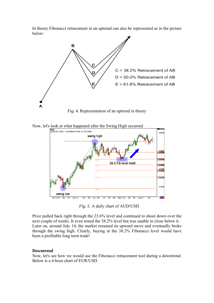In theory Fibonacci retracement in an uptrend can also be represented as in the picture below:



*Fig. 4.* Representation of an uptrend in theory





*Fig. 5.* A daily chart of AUD/USD

Price pulled back right through the 23.6% level and continued to shoot down over the next couple of weeks. It even tested the 38.2% level but was unable to close below it. Later on, around July 14, the market resumed its upward move and eventually broke through the swing high. Clearly, buying at the 38.2% Fibonacci level would have been a profitable long term trade!

## **Downtrend**

Now, let's see how we would use the Fibonacci retracement tool during a downtrend. Below is a 4-hour chart of EUR/USD.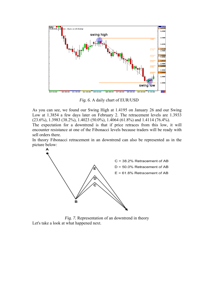

*Fig. 6.* A daily chart of EUR/USD

As you can see, we found our Swing High at 1.4195 on January 26 and our Swing Low at 1.3854 a few days later on February 2. The retracement levels are 1.3933  $(23.6\%)$ , 1.3983  $(38.2\%)$ , 1.4023  $(50.0\%)$ , 1.4064  $(61.8\%)$  and 1.4114  $(76.4\%)$ .

The expectation for a downtrend is that if price retraces from this low, it will encounter resistance at one of the Fibonacci levels because traders will be ready with sell orders there.

In theory Fibonacci retracement in an downtrend can also be represented as in the picture below:



*Fig. 7.* Representation of an downtrend in theory Let's take a look at what happened next.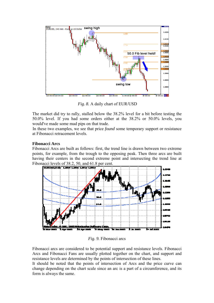

 *Fig. 8.* A daily chart of EUR/USD

The market did try to rally, stalled below the 38.2% level for a bit before testing the 50.0% level. If you had some orders either at the 38.2% or 50.0% levels, you would've made some mad pips on that trade.

In these two examples, we see that price *found* some temporary support or resistance at Fibonacci retracement levels.

# **Fibonacci Arcs**

Fibonacci Arcs are built as follows: first, the trend line is drawn between two extreme points, for example, from the trough to the opposing peak. Then three arcs are built having their centers in the second extreme point and intersecting the trend line at Fibonacci levels of 38.2, 50, and 61.8 per cent.



*Fig. 9.* Fibonacci arcs

Fibonacci arcs are considered to be potential support and resistance levels. Fibonacci Arcs and Fibonacci Fans are usually plotted together on the chart, and support and resistance levels are determined by the points of intersection of these lines.

It should be noted that the points of intersection of Arcs and the price curve can change depending on the chart scale since an arc is a part of a circumference, and its form is always the same.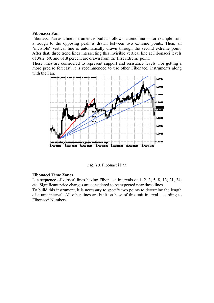### **Fibonacci Fan**

Fibonacci Fan as a line instrument is built as follows: a trend line — for example from a trough to the opposing peak is drawn between two extreme points. Then, an "invisible" vertical line is automatically drawn through the second extreme point. After that, three trend lines intersecting this invisible vertical line at Fibonacci levels of 38.2, 50, and 61.8 percent are drawn from the first extreme point.

These lines are considered to represent support and resistance levels. For getting a more precise forecast, it is recommended to use other Fibonacci instruments along with the Fan.



*Fig. 10.* Fibonacci Fan

## **Fibonacci Time Zones**

Is a sequence of vertical lines having Fibonacci intervals of 1, 2, 3, 5, 8, 13, 21, 34, etc. Significant price changes are considered to be expected near these lines. To build this instrument, it is necessary to specify two points to determine the length of a unit interval. All other lines are built on base of this unit interval according to

Fibonacci Numbers.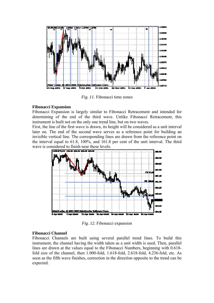

*Fig. 11.* Fibonacci time zones

#### **Fibonacci Expansion**

Fibonacci Expansion is largely similar to Fibonacci Retracement and intended for determining of the end of the third wave. Unlike Fibonacci Retracement, this instrument is built not on the only one trend line, but on two waves.

First, the line of the first wave is drawn, its height will be considered as a unit interval later on. The end of the second wave serves as a reference point for building an invisible vertical line. The corresponding lines are drawn from the reference point on the interval equal to 61.8, 100%, and 161.8 per cent of the unit interval. The third wave is considered to finish near these levels.



*Fig. 12.* Fibonacci expansion

## **Fibonacci Channel**

Fibonacci Channels are built using several parallel trend lines. To build this instrument, the channel having the width taken as a unit width is used. Then, parallel lines are drawn at the values equal to the Fibonacci Numbers, beginning with 0.618 fold size of the channel, then 1.000-fold, 1.618-fold, 2.618-fold, 4.236-fold, etc. As soon as the fifth wave finishes, correction in the direction opposite to the trend can be expected.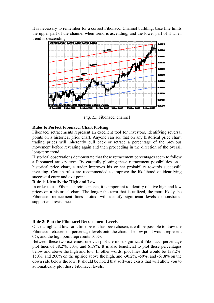It is necessary to remember for a correct Fibonacci Channel building: base line limits the upper part of the channel when trend is ascending, and the lower part of it when trend is descending.



*Fig. 13.* Fibonacci channel

## **Rules to Perfect Fibonacci Chart Plotting**

Fibonacci retracements represent an excellent tool for investors, identifying reversal points on a historical price chart. Anyone can see that on any historical price chart, trading prices will inherently pull back or retrace a percentage of the previous movement before reversing again and then proceeding in the direction of the overall long-term trend.

Historical observations demonstrate that these retracement percentages seem to follow a Fibonacci ratio pattern. By carefully plotting these retracement possibilities on a historical price chart, a trader improves his or her probability towards successful investing. Certain rules are recommended to improve the likelihood of identifying successful entry and exit points.

# **Rule 1: Identify the High and Low**

In order to use Fibonacci retracements, it is important to identify relative high and low prices on a historical chart. The longer the term that is utilized, the more likely the Fibonacci retracement lines plotted will identify significant levels demonstrated support and resistance.

# **Rule 2: Plot the Fibonacci Retracement Levels**

Once a high and low for a time period has been chosen, it will be possible to draw the Fibonacci retracement percentage levels onto the chart. The low point would represent 0%, and the high point represents 100%.

Between these two extremes, one can plot the most significant Fibonacci percentage plot lines of 38.2%, 50%, and 61.8%. It is also beneficial to plot these percentages below and above the high and low. In other words, plot lines that would be 138.2%, 150%, and 200% on the up side above the high, and -30.2%, -50%, and -61.8% on the down side below the low. It should be noted that software exists that will allow you to automatically plot these Fibonacci levels.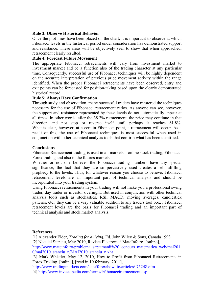### **Rule 3: Observe Historical Behavior**

Once the plot lines have been placed on the chart, it is important to observe at which Fibonacci levels in the historical period under consideration has demonstrated support and resistance. These areas will be objectively seen to show that when approached, retracement clearly resulted.

## **Rule 4: Forecast Future Movement**

The appropriate Fibonacci retracements will vary from investment market to investment market and be a function also of the trading character at any particular time. Consequently, successful use of Fibonacci techniques will be highly dependent on the accurate interpretation of previous price movement activity within the range identified. When the proper Fibonacci retracements have been observed, entry and exit points can be forecasted for position-taking based upon the clearly demonstrated historical record.

#### **Rule 5: Always Have Confirmation**

Through study and observation, many successful traders have mastered the techniques necessary for the use of Fibonacci retracement ratios. As anyone can see, however, the support and resistance represented by these levels do not automatically appear at all times. In other words, after the 38.2% retracement, the price may continue in that direction and not stop or reverse itself until perhaps it reaches 61.8%. What is clear, however, at a certain Fibonacci point, a retracement will occur. As a result of this, the use of Fibonacci techniques is most successful when used in conjunction with other technical analysis tools that confirm what has been identified.

#### **Conclusions**

Fibonacci Retracement trading is used in all markets – online stock trading, Fibonacci Forex trading and also in the futures markets.

Whether or not one believes the Fibonacci trading numbers have any special significance, the fact that they are so pervasively used creates a self-fulfilling prophecy to the levels. Thus, for whatever reason you choose to believe, Fibonacci retracement levels are an important part of technical analysis and should be incorporated into your trading system.

Using Fibonacci retracements in your trading will not make you a professional swing trader, day trader or investor overnight. But used in conjunction with other technical analysis tools such as stochastics, RSI, MACD, moving averages, candlestick patterns, etc., they can be a very valuable addition to any traders tool box. , Fibonacci retracement levels are the basis for Fibonacci trading and an important part of technical analysis and stock market analysis.

#### **References**

[1] Alexander Elder, *Trading for a living*, Ed. John Wiley & Sons, Canada 1993 [2] Neculai Stanciu, May 2010, Revista Electronică MateInfo.ro, [online], [http://www.mateinfo.ro/problema\\_saptamanii%20\\_concurs\\_matematica\\_web/mai201](http://www.mateinfo.ro/problema_saptamanii%20_concurs_matematica_web/mai2010/mai2010_stanciu_n/MAI2010_stanciu_n.xht) [0/mai2010\\_stanciu\\_n/MAI2010\\_stanciu\\_n.xht](http://www.mateinfo.ro/problema_saptamanii%20_concurs_matematica_web/mai2010/mai2010_stanciu_n/MAI2010_stanciu_n.xht)

[3] Mark Whistler, May 12, 2010, How to Profit from Fibonacci Retracements in Forex Trading, [online], [read in 10 february, 2011],

[http://www.tradingmarkets.com/.site/forex/how\\_to/articles/-75248.cfm](http://www.tradingmarkets.com/.site/forex/how_to/articles/-75248.cfm)

[4] <http://www.investopedia.com/terms/f/fibonacciretracement.asp>